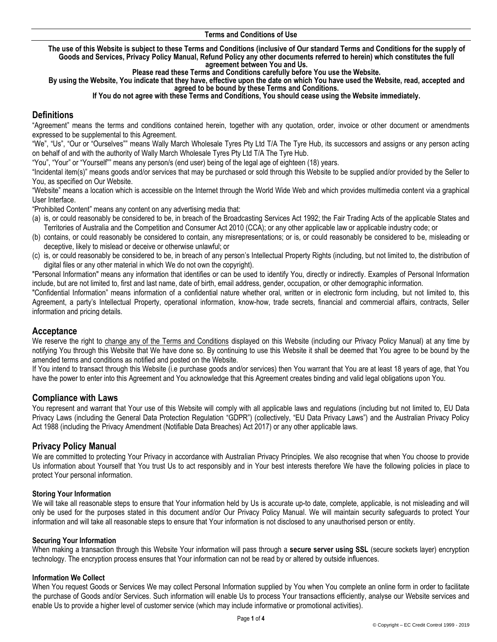#### **Terms and Conditions of Use**

**The use of this Website is subject to these Terms and Conditions (inclusive of Our standard Terms and Conditions for the supply of Goods and Services, Privacy Policy Manual, Refund Policy any other documents referred to herein) which constitutes the full agreement between You and Us.** 

**Please read these Terms and Conditions carefully before You use the Website.** 

**By using the Website, You indicate that they have, effective upon the date on which You have used the Website, read, accepted and agreed to be bound by these Terms and Conditions.**

#### **If You do not agree with these Terms and Conditions, You should cease using the Website immediately.**

# **Definitions**

"Agreement" means the terms and conditions contained herein, together with any quotation, order, invoice or other document or amendments expressed to be supplemental to this Agreement.

"We", "Us", "Our or "Ourselves"" means Wally March Wholesale Tyres Pty Ltd T/A The Tyre Hub, its successors and assigns or any person acting on behalf of and with the authority of Wally March Wholesale Tyres Pty Ltd T/A The Tyre Hub.

"You", "Your" or "Yourself"" means any person/s (end user) being of the legal age of eighteen (18) years.

"Incidental item(s)" means goods and/or services that may be purchased or sold through this Website to be supplied and/or provided by the Seller to You, as specified on Our Website.

"Website" means a location which is accessible on the Internet through the World Wide Web and which provides multimedia content via a graphical User Interface.

"Prohibited Content" means any content on any advertising media that:

- (a) is, or could reasonably be considered to be, in breach of the Broadcasting Services Act 1992; the Fair Trading Acts of the applicable States and Territories of Australia and the Competition and Consumer Act 2010 (CCA); or any other applicable law or applicable industry code; or
- (b) contains, or could reasonably be considered to contain, any misrepresentations; or is, or could reasonably be considered to be, misleading or deceptive, likely to mislead or deceive or otherwise unlawful; or
- (c) is, or could reasonably be considered to be, in breach of any person's Intellectual Property Rights (including, but not limited to, the distribution of digital files or any other material in which We do not own the copyright).

"Personal Information" means any information that identifies or can be used to identify You, directly or indirectly. Examples of Personal Information include, but are not limited to, first and last name, date of birth, email address, gender, occupation, or other demographic information.

"Confidential Information" means information of a confidential nature whether oral, written or in electronic form including, but not limited to, this Agreement, a party's Intellectual Property, operational information, know-how, trade secrets, financial and commercial affairs, contracts, Seller information and pricing details.

### **Acceptance**

We reserve the right to change any of the Terms and Conditions displayed on this Website (including our Privacy Policy Manual) at any time by notifying You through this Website that We have done so. By continuing to use this Website it shall be deemed that You agree to be bound by the amended terms and conditions as notified and posted on the Website.

If You intend to transact through this Website (i.e purchase goods and/or services) then You warrant that You are at least 18 years of age, that You have the power to enter into this Agreement and You acknowledge that this Agreement creates binding and valid legal obligations upon You.

### **Compliance with Laws**

You represent and warrant that Your use of this Website will comply with all applicable laws and regulations (including but not limited to, EU Data Privacy Laws (including the General Data Protection Regulation "GDPR") (collectively, "EU Data Privacy Laws") and the Australian Privacy Policy Act 1988 (including the Privacy Amendment (Notifiable Data Breaches) Act 2017) or any other applicable laws.

### **Privacy Policy Manual**

We are committed to protecting Your Privacy in accordance with Australian Privacy Principles. We also recognise that when You choose to provide Us information about Yourself that You trust Us to act responsibly and in Your best interests therefore We have the following policies in place to protect Your personal information.

#### **Storing Your Information**

We will take all reasonable steps to ensure that Your information held by Us is accurate up-to date, complete, applicable, is not misleading and will only be used for the purposes stated in this document and/or Our Privacy Policy Manual. We will maintain security safeguards to protect Your information and will take all reasonable steps to ensure that Your information is not disclosed to any unauthorised person or entity.

#### **Securing Your Information**

When making a transaction through this Website Your information will pass through a **secure server using SSL** (secure sockets layer) encryption technology. The encryption process ensures that Your information can not be read by or altered by outside influences.

#### **Information We Collect**

When You request Goods or Services We may collect Personal Information supplied by You when You complete an online form in order to facilitate the purchase of Goods and/or Services. Such information will enable Us to process Your transactions efficiently, analyse our Website services and enable Us to provide a higher level of customer service (which may include informative or promotional activities).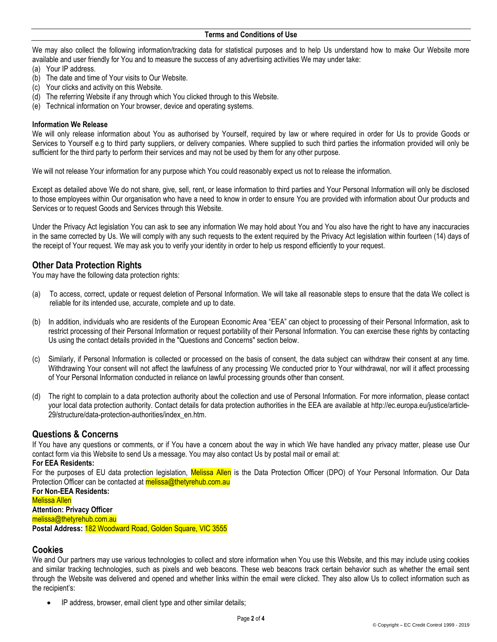We may also collect the following information/tracking data for statistical purposes and to help Us understand how to make Our Website more available and user friendly for You and to measure the success of any advertising activities We may under take:

- (a) Your IP address.
- (b) The date and time of Your visits to Our Website.
- (c) Your clicks and activity on this Website.
- (d) The referring Website if any through which You clicked through to this Website.
- (e) Technical information on Your browser, device and operating systems.

#### **Information We Release**

We will only release information about You as authorised by Yourself, required by law or where required in order for Us to provide Goods or Services to Yourself e.g to third party suppliers, or delivery companies. Where supplied to such third parties the information provided will only be sufficient for the third party to perform their services and may not be used by them for any other purpose.

We will not release Your information for any purpose which You could reasonably expect us not to release the information.

Except as detailed above We do not share, give, sell, rent, or lease information to third parties and Your Personal Information will only be disclosed to those employees within Our organisation who have a need to know in order to ensure You are provided with information about Our products and Services or to request Goods and Services through this Website.

Under the Privacy Act legislation You can ask to see any information We may hold about You and You also have the right to have any inaccuracies in the same corrected by Us. We will comply with any such requests to the extent required by the Privacy Act legislation within fourteen (14) days of the receipt of Your request. We may ask you to verify your identity in order to help us respond efficiently to your request.

## **Other Data Protection Rights**

You may have the following data protection rights:

- (a) To access, correct, update or request deletion of Personal Information. We will take all reasonable steps to ensure that the data We collect is reliable for its intended use, accurate, complete and up to date.
- (b) In addition, individuals who are residents of the European Economic Area "EEA" can object to processing of their Personal Information, ask to restrict processing of their Personal Information or request portability of their Personal Information. You can exercise these rights by contacting Us using the contact details provided in the "Questions and Concerns" section below.
- (c) Similarly, if Personal Information is collected or processed on the basis of consent, the data subject can withdraw their consent at any time. Withdrawing Your consent will not affect the lawfulness of any processing We conducted prior to Your withdrawal, nor will it affect processing of Your Personal Information conducted in reliance on lawful processing grounds other than consent.
- (d) The right to complain to a data protection authority about the collection and use of Personal Information. For more information, please contact your local data protection authority. Contact details for data protection authorities in the EEA are available at http://ec.europa.eu/justice/article-29/structure/data-protection-authorities/index\_en.htm.

# **Questions & Concerns**

If You have any questions or comments, or if You have a concern about the way in which We have handled any privacy matter, please use Our [contact form](https://mailchimp.com/contact/) via this Website to send Us a message. You may also contact Us by postal mail or email at:

### **For EEA Residents:**

For the purposes of EU data protection legislation, Melissa Allen is the Data Protection Officer (DPO) of Your Personal Information. Our Data Protection Officer can be contacted at **melissa@thetyrehub.com.au** 

**For Non-EEA Residents:** Melissa Allen **Attention: Privacy Officer**

melissa@thetyrehub.com.au **Postal Address:** 182 Woodward Road, Golden Square, VIC 3555

### **Cookies**

We and Our partners may use various technologies to collect and store information when You use this Website, and this may include using cookies and similar tracking technologies, such as pixels and web beacons. These web beacons track certain behavior such as whether the email sent through the Website was delivered and opened and whether links within the email were clicked. They also allow Us to collect information such as the recipient's:

IP address, browser, email client type and other similar details;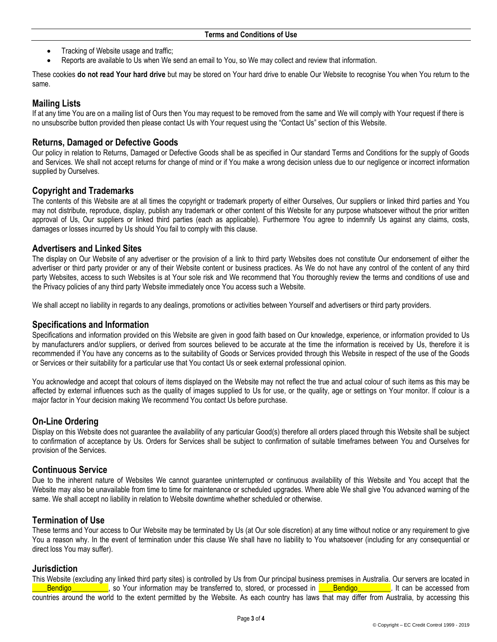- Tracking of Website usage and traffic;
- Reports are available to Us when We send an email to You, so We may collect and review that information.

These cookies **do not read Your hard drive** but may be stored on Your hard drive to enable Our Website to recognise You when You return to the same.

# **Mailing Lists**

If at any time You are on a mailing list of Ours then You may request to be removed from the same and We will comply with Your request if there is no unsubscribe button provided then please contact Us with Your request using the "Contact Us" section of this Website.

## **Returns, Damaged or Defective Goods**

Our policy in relation to Returns, Damaged or Defective Goods shall be as specified in Our standard Terms and Conditions for the supply of Goods and Services. We shall not accept returns for change of mind or if You make a wrong decision unless due to our negligence or incorrect information supplied by Ourselves.

## **Copyright and Trademarks**

The contents of this Website are at all times the copyright or trademark property of either Ourselves, Our suppliers or linked third parties and You may not distribute, reproduce, display, publish any trademark or other content of this Website for any purpose whatsoever without the prior written approval of Us, Our suppliers or linked third parties (each as applicable). Furthermore You agree to indemnify Us against any claims, costs, damages or losses incurred by Us should You fail to comply with this clause.

### **Advertisers and Linked Sites**

The display on Our Website of any advertiser or the provision of a link to third party Websites does not constitute Our endorsement of either the advertiser or third party provider or any of their Website content or business practices. As We do not have any control of the content of any third party Websites, access to such Websites is at Your sole risk and We recommend that You thoroughly review the terms and conditions of use and the Privacy policies of any third party Website immediately once You access such a Website.

We shall accept no liability in regards to any dealings, promotions or activities between Yourself and advertisers or third party providers.

### **Specifications and Information**

Specifications and information provided on this Website are given in good faith based on Our knowledge, experience, or information provided to Us by manufacturers and/or suppliers, or derived from sources believed to be accurate at the time the information is received by Us, therefore it is recommended if You have any concerns as to the suitability of Goods or Services provided through this Website in respect of the use of the Goods or Services or their suitability for a particular use that You contact Us or seek external professional opinion.

You acknowledge and accept that colours of items displayed on the Website may not reflect the true and actual colour of such items as this may be affected by external influences such as the quality of images supplied to Us for use, or the quality, age or settings on Your monitor. If colour is a major factor in Your decision making We recommend You contact Us before purchase.

# **On-Line Ordering**

Display on this Website does not guarantee the availability of any particular Good(s) therefore all orders placed through this Website shall be subject to confirmation of acceptance by Us. Orders for Services shall be subject to confirmation of suitable timeframes between You and Ourselves for provision of the Services.

### **Continuous Service**

Due to the inherent nature of Websites We cannot guarantee uninterrupted or continuous availability of this Website and You accept that the Website may also be unavailable from time to time for maintenance or scheduled upgrades. Where able We shall give You advanced warning of the same. We shall accept no liability in relation to Website downtime whether scheduled or otherwise.

# **Termination of Use**

These terms and Your access to Our Website may be terminated by Us (at Our sole discretion) at any time without notice or any requirement to give You a reason why. In the event of termination under this clause We shall have no liability to You whatsoever (including for any consequential or direct loss You may suffer).

### **Jurisdiction**

This Website (excluding any linked third party sites) is controlled by Us from Our principal business premises in Australia. Our servers are located in Bendigo and a so Your information may be transferred to, stored, or processed in **Bendigo** Bendigo Bendigo Bendigo countries around the world to the extent permitted by the Website. As each country has laws that may differ from Australia, by accessing this